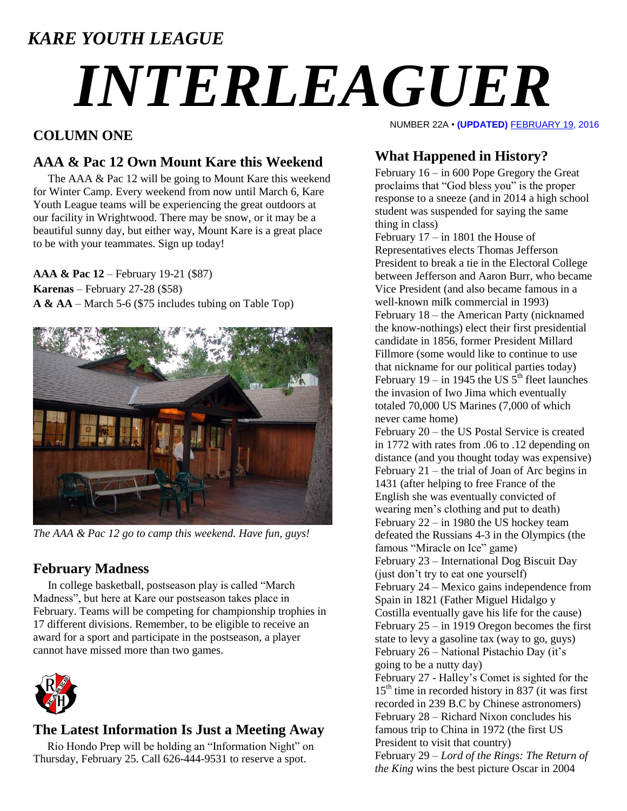### *KARE YOUTH LEAGUE*

# *INTERLEAGUER*

#### **COLUMN ONE**

#### **AAA & Pac 12 Own Mount Kare this Weekend**

The AAA & Pac 12 will be going to Mount Kare this weekend for Winter Camp. Every weekend from now until March 6, Kare Youth League teams will be experiencing the great outdoors at our facility in Wrightwood. There may be snow, or it may be a beautiful sunny day, but either way, Mount Kare is a great place to be with your teammates. Sign up today!

**AAA & Pac 12** – February 19-21 (\$87) **Karenas** – February 27-28 (\$58) **A & AA** – March 5-6 (\$75 includes tubing on Table Top)



*The AAA & Pac 12 go to camp this weekend. Have fun, guys!*

#### **February Madness**

In college basketball, postseason play is called "March Madness", but here at Kare our postseason takes place in February. Teams will be competing for championship trophies in 17 different divisions. Remember, to be eligible to receive an award for a sport and participate in the postseason, a player cannot have missed more than two games.



#### **The Latest Information Is Just a Meeting Away**

 Rio Hondo Prep will be holding an "Information Night" on Thursday, February 25. Call 626-444-9531 to reserve a spot.

NUMBER 22A • **(UPDATED)** FEBRUARY 19, 2016

#### **What Happened in History?**

February 16 – in 600 Pope Gregory the Great proclaims that "God bless you" is the proper response to a sneeze (and in 2014 a high school student was suspended for saying the same thing in class)

February 17 – in 1801 the House of Representatives elects Thomas Jefferson President to break a tie in the Electoral College between Jefferson and Aaron Burr, who became Vice President (and also became famous in a well-known milk commercial in 1993) February 18 – the American Party (nicknamed the know-nothings) elect their first presidential candidate in 1856, former President Millard Fillmore (some would like to continue to use that nickname for our political parties today) February 19 – in 1945 the US  $5<sup>th</sup>$  fleet launches the invasion of Iwo Jima which eventually totaled 70,000 US Marines (7,000 of which never came home)

February 20 – the US Postal Service is created in 1772 with rates from .06 to .12 depending on distance (and you thought today was expensive) February 21 – the trial of Joan of Arc begins in 1431 (after helping to free France of the English she was eventually convicted of wearing men's clothing and put to death) February 22 – in 1980 the US hockey team defeated the Russians 4-3 in the Olympics (the famous "Miracle on Ice" game) February 23 – International Dog Biscuit Day (just don't try to eat one yourself) February 24 – Mexico gains independence from Spain in 1821 (Father [Miguel Hidalgo y](https://en.wikipedia.org/wiki/Miguel_Hidalgo_y_Costilla)  [Costilla](https://en.wikipedia.org/wiki/Miguel_Hidalgo_y_Costilla) eventually gave his life for the cause) February 25 – in 1919 Oregon becomes the first state to levy a gasoline tax (way to go, guys) February 26 – National Pistachio Day (it's going to be a nutty day) February 27 - Halley's Comet is sighted for the  $15<sup>th</sup>$  time in recorded history in 837 (it was first recorded in 239 B.C by Chinese astronomers) February 28 – Richard Nixon concludes his famous trip to China in 1972 (the first US President to visit that country) February 29 – *Lord of the Rings: The Return of the King* wins the best picture Oscar in 2004